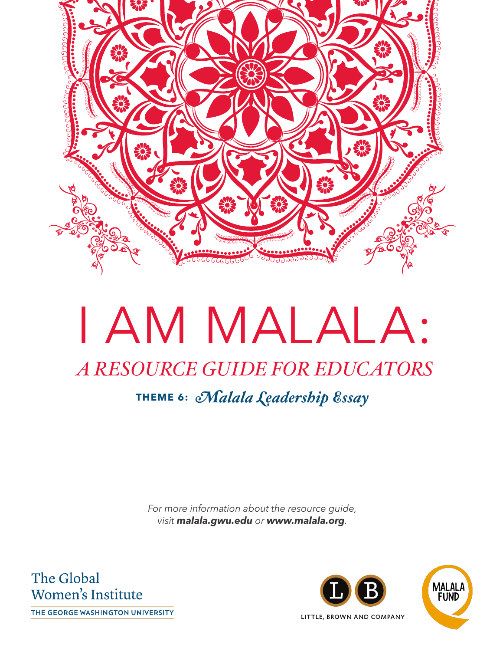

# I AM MALALA: *A RESOURCE GUIDE FOR EDUCATORS* **THEME 6:** *Malala Leadership Essay*

*For more information about the resource guide, visit* **[malala.gwu.edu](http://malala.gwu.edu)** *or* **www.malala.org***.*

The Global Women's Institute

THE GEORGE WASHINGTON UNIVERSITY

MALALA **FUND** LITTLE, BROWN AND COMPANY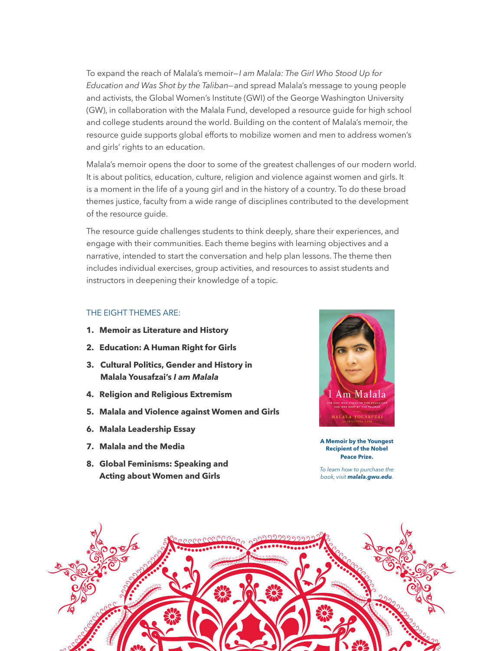To expand the reach of Malala's memoir—*I am Malala: The Girl Who Stood Up for Education and Was Shot by the Taliban*—and spread Malala's message to young people and activists, the Global Women's Institute (GWI) of the George Washington University (GW), in collaboration with the Malala Fund, developed a resource guide for high school and college students around the world. Building on the content of Malala's memoir, the resource guide supports global efforts to mobilize women and men to address women's and girls' rights to an education.

Malala's memoir opens the door to some of the greatest challenges of our modern world. It is about politics, education, culture, religion and violence against women and girls. It is a moment in the life of a young girl and in the history of a country. To do these broad themes justice, faculty from a wide range of disciplines contributed to the development of the resource guide.

The resource guide challenges students to think deeply, share their experiences, and engage with their communities. Each theme begins with learning objectives and a narrative, intended to start the conversation and help plan lessons. The theme then includes individual exercises, group activities, and resources to assist students and instructors in deepening their knowledge of a topic.

### THE EIGHT THEMES ARE:

- **1. Memoir as Literature and History**
- **2. Education: A Human Right for Girls**
- **3. Cultural Politics, Gender and History in Malala Yousafzai's I am Malala**
- **4. Religion and Religious Extremism**
- **5. Malala and Violence against Women and Girls**
- **6. Malala Leadership Essay**
- **7. Malala and the Media**
- **8. Global Feminisms: Speaking and Acting about Women and Girls**



**A Memoir by the Youngest Recipient of the Nobel Peace Prize.** 

*To learn how to purchase the book, visit* **[malala.gwu.edu](http://malala.gwu.edu)***.*

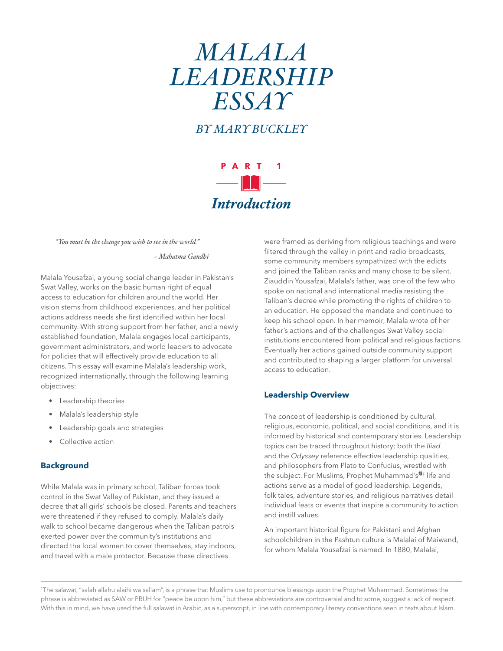# *MALALA LEADERSHIP ESSAY*

*BY MARY BUCKLEY* 



*"You must be the change you wish to see in the world."* 

*~ Mahatma Gandhi*

Malala Yousafzai, a young social change leader in Pakistan's Swat Valley, works on the basic human right of equal access to education for children around the world. Her vision stems from childhood experiences, and her political actions address needs she first identified within her local community. With strong support from her father, and a newly established foundation, Malala engages local participants, government administrators, and world leaders to advocate for policies that will effectively provide education to all citizens. This essay will examine Malala's leadership work, recognized internationally, through the following learning objectives:

- Leadership theories
- Malala's leadership style
- Leadership goals and strategies
- Collective action

### **Background**

While Malala was in primary school, Taliban forces took control in the Swat Valley of Pakistan, and they issued a decree that all girls' schools be closed. Parents and teachers were threatened if they refused to comply. Malala's daily walk to school became dangerous when the Taliban patrols exerted power over the community's institutions and directed the local women to cover themselves, stay indoors, and travel with a male protector. Because these directives

were framed as deriving from religious teachings and were filtered through the valley in print and radio broadcasts, some community members sympathized with the edicts and joined the Taliban ranks and many chose to be silent. Ziauddin Yousafzai, Malala's father, was one of the few who spoke on national and international media resisting the Taliban's decree while promoting the rights of children to an education. He opposed the mandate and continued to keep his school open. In her memoir, Malala wrote of her father's actions and of the challenges Swat Valley social institutions encountered from political and religious factions. Eventually her actions gained outside community support and contributed to shaping a larger platform for universal access to education.

### **Leadership Overview**

The concept of leadership is conditioned by cultural, religious, economic, political, and social conditions, and it is informed by historical and contemporary stories. Leadership topics can be traced throughout history; both the *Iliad* and the *Odyssey* reference effective leadership qualities, and philosophers from Plato to Confucius, wrestled with the subject. For Muslims, Prophet Muhammad's<sup>361</sup> life and actions serve as a model of good leadership. Legends, folk tales, adventure stories, and religious narratives detail individual feats or events that inspire a community to action and instill values.

An important historical figure for Pakistani and Afghan schoolchildren in the Pashtun culture is Malalai of Maiwand, for whom Malala Yousafzai is named. In 1880, Malalai,

1 The salawat, "salah allahu alaihi wa sallam", is a phrase that Muslims use to pronounce blessings upon the Prophet Muhammad. Sometimes the phrase is abbreviated as SAW or PBUH for "peace be upon him," but these abbreviations are controversial and to some, suggest a lack of respect. With this in mind, we have used the full salawat in Arabic, as a superscript, in line with contemporary literary conventions seen in texts about Islam.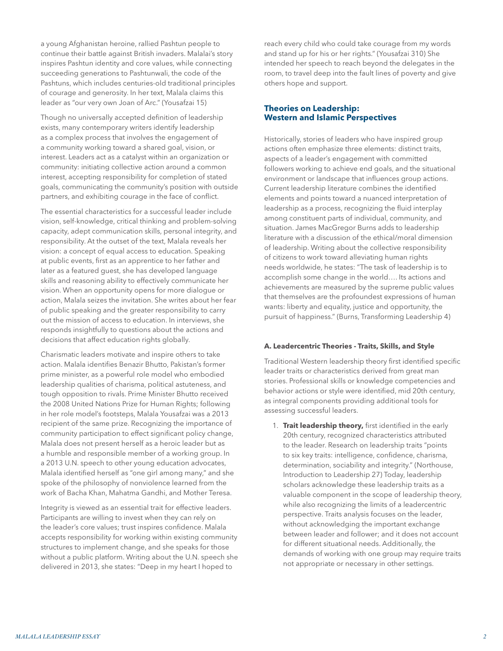a young Afghanistan heroine, rallied Pashtun people to continue their battle against British invaders. Malalai's story inspires Pashtun identity and core values, while connecting succeeding generations to Pashtunwali, the code of the Pashtuns, which includes centuries-old traditional principles of courage and generosity. In her text, Malala claims this leader as "our very own Joan of Arc." (Yousafzai 15)

Though no universally accepted definition of leadership exists, many contemporary writers identify leadership as a complex process that involves the engagement of a community working toward a shared goal, vision, or interest. Leaders act as a catalyst within an organization or community: initiating collective action around a common interest, accepting responsibility for completion of stated goals, communicating the community's position with outside partners, and exhibiting courage in the face of conflict.

The essential characteristics for a successful leader include vision, self-knowledge, critical thinking and problem-solving capacity, adept communication skills, personal integrity, and responsibility. At the outset of the text, Malala reveals her vision: a concept of equal access to education. Speaking at public events, first as an apprentice to her father and later as a featured guest, she has developed language skills and reasoning ability to effectively communicate her vision. When an opportunity opens for more dialogue or action, Malala seizes the invitation. She writes about her fear of public speaking and the greater responsibility to carry out the mission of access to education. In interviews, she responds insightfully to questions about the actions and decisions that affect education rights globally.

Charismatic leaders motivate and inspire others to take action. Malala identifies Benazir Bhutto, Pakistan's former prime minister, as a powerful role model who embodied leadership qualities of charisma, political astuteness, and tough opposition to rivals. Prime Minister Bhutto received the 2008 United Nations Prize for Human Rights; following in her role model's footsteps, Malala Yousafzai was a 2013 recipient of the same prize. Recognizing the importance of community participation to effect significant policy change, Malala does not present herself as a heroic leader but as a humble and responsible member of a working group. In a 2013 U.N. speech to other young education advocates, Malala identified herself as "one girl among many," and she spoke of the philosophy of nonviolence learned from the work of Bacha Khan, Mahatma Gandhi, and Mother Teresa.

Integrity is viewed as an essential trait for effective leaders. Participants are willing to invest when they can rely on the leader's core values; trust inspires confidence. Malala accepts responsibility for working within existing community structures to implement change, and she speaks for those without a public platform. Writing about the U.N. speech she delivered in 2013, she states: "Deep in my heart I hoped to

reach every child who could take courage from my words and stand up for his or her rights." (Yousafzai 310) She intended her speech to reach beyond the delegates in the room, to travel deep into the fault lines of poverty and give others hope and support.

### **Theories on Leadership: Western and Islamic Perspectives**

Historically, stories of leaders who have inspired group actions often emphasize three elements: distinct traits, aspects of a leader's engagement with committed followers working to achieve end goals, and the situational environment or landscape that influences group actions. Current leadership literature combines the identified elements and points toward a nuanced interpretation of leadership as a process, recognizing the fluid interplay among constituent parts of individual, community, and situation. James MacGregor Burns adds to leadership literature with a discussion of the ethical/moral dimension of leadership. Writing about the collective responsibility of citizens to work toward alleviating human rights needs worldwide, he states: "The task of leadership is to accomplish some change in the world…. Its actions and achievements are measured by the supreme public values that themselves are the profoundest expressions of human wants: liberty and equality, justice and opportunity, the pursuit of happiness." (Burns, Transforming Leadership 4)

### **A. Leadercentric Theories - Traits, Skills, and Style**

Traditional Western leadership theory first identified specific leader traits or characteristics derived from great man stories. Professional skills or knowledge competencies and behavior actions or style were identified, mid 20th century, as integral components providing additional tools for assessing successful leaders.

1. **Trait leadership theory,** first identified in the early 20th century, recognized characteristics attributed to the leader. Research on leadership traits "points to six key traits: intelligence, confidence, charisma, determination, sociability and integrity." (Northouse, Introduction to Leadership 27) Today, leadership scholars acknowledge these leadership traits as a valuable component in the scope of leadership theory, while also recognizing the limits of a leadercentric perspective. Traits analysis focuses on the leader, without acknowledging the important exchange between leader and follower; and it does not account for different situational needs. Additionally, the demands of working with one group may require traits not appropriate or necessary in other settings.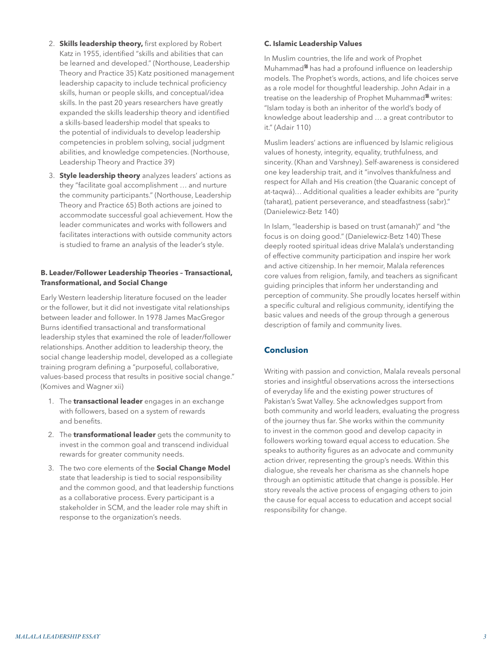- 2. **Skills leadership theory,** first explored by Robert Katz in 1955, identified "skills and abilities that can be learned and developed." (Northouse, Leadership Theory and Practice 35) Katz positioned management leadership capacity to include technical proficiency skills, human or people skills, and conceptual/idea skills. In the past 20 years researchers have greatly expanded the skills leadership theory and identified a skills-based leadership model that speaks to the potential of individuals to develop leadership competencies in problem solving, social judgment abilities, and knowledge competencies. (Northouse, Leadership Theory and Practice 39)
- 3. **Style leadership theory** analyzes leaders' actions as they "facilitate goal accomplishment … and nurture the community participants." (Northouse, Leadership Theory and Practice 65) Both actions are joined to accommodate successful goal achievement. How the leader communicates and works with followers and facilitates interactions with outside community actors is studied to frame an analysis of the leader's style.

### **B. Leader/Follower Leadership Theories – Transactional, Transformational, and Social Change**

Early Western leadership literature focused on the leader or the follower, but it did not investigate vital relationships between leader and follower. In 1978 James MacGregor Burns identified transactional and transformational leadership styles that examined the role of leader/follower relationships. Another addition to leadership theory, the social change leadership model, developed as a collegiate training program defining a "purposeful, collaborative, values-based process that results in positive social change." (Komives and Wagner xii)

- 1. The **transactional leader** engages in an exchange with followers, based on a system of rewards and benefits.
- 2. The **transformational leader** gets the community to invest in the common goal and transcend individual rewards for greater community needs.
- 3. The two core elements of the **Social Change Model** state that leadership is tied to social responsibility and the common good, and that leadership functions as a collaborative process. Every participant is a stakeholder in SCM, and the leader role may shift in response to the organization's needs.

### **C. Islamic Leadership Values**

In Muslim countries, the life and work of Prophet Muhammad<sup>36</sup> has had a profound influence on leadership models. The Prophet's words, actions, and life choices serve as a role model for thoughtful leadership. John Adair in a treatise on the leadership of Prophet Muhammad<sup>38</sup> writes: "Islam today is both an inheritor of the world's body of knowledge about leadership and … a great contributor to it." (Adair 110)

Muslim leaders' actions are influenced by Islamic religious values of honesty, integrity, equality, truthfulness, and sincerity. (Khan and Varshney). Self-awareness is considered one key leadership trait, and it "involves thankfulness and respect for Allah and His creation (the Quaranic concept of at-taqwá)… Additional qualities a leader exhibits are "purity (taharat), patient perseverance, and steadfastness (sabr)." (Danielewicz-Betz 140)

In Islam, "leadership is based on trust (amanah)" and "the focus is on doing good." (Danielewicz-Betz 140) These deeply rooted spiritual ideas drive Malala's understanding of effective community participation and inspire her work and active citizenship. In her memoir, Malala references core values from religion, family, and teachers as significant guiding principles that inform her understanding and perception of community. She proudly locates herself within a specific cultural and religious community, identifying the basic values and needs of the group through a generous description of family and community lives.

### **Conclusion**

Writing with passion and conviction, Malala reveals personal stories and insightful observations across the intersections of everyday life and the existing power structures of Pakistan's Swat Valley. She acknowledges support from both community and world leaders, evaluating the progress of the journey thus far. She works within the community to invest in the common good and develop capacity in followers working toward equal access to education. She speaks to authority figures as an advocate and community action driver, representing the group's needs. Within this dialogue, she reveals her charisma as she channels hope through an optimistic attitude that change is possible. Her story reveals the active process of engaging others to join the cause for equal access to education and accept social responsibility for change.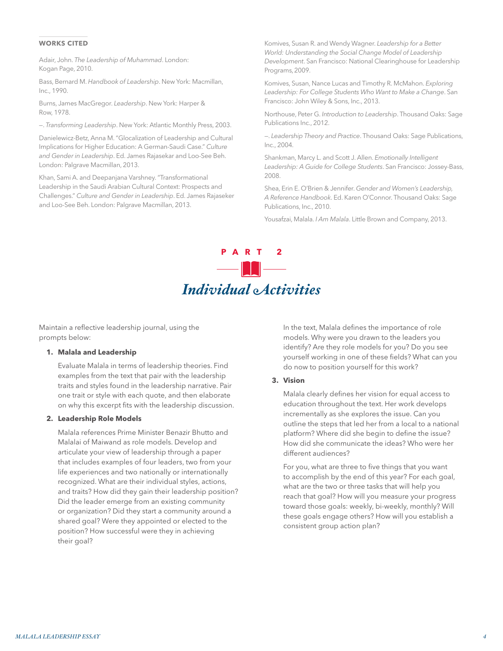### **WORKS CITED**

Adair, John. *The Leadership of Muhammad*. London: Kogan Page, 2010.

Bass, Bernard M. *Handbook of Leadership*. New York: Macmillan, Inc., 1990.

Burns, James MacGregor. *Leadership*. New York: Harper & Row, 1978.

—. *Transforming Leadership*. New York: Atlantic Monthly Press, 2003.

Danielewicz-Betz, Anna M. "Glocalization of Leadership and Cultural Implications for Higher Education: A German-Saudi Case." *Culture and Gender in Leadership*. Ed. James Rajasekar and Loo-See Beh. London: Palgrave Macmillan, 2013.

Khan, Sami A. and Deepanjana Varshney. "Transformational Leadership in the Saudi Arabian Cultural Context: Prospects and Challenges." *Culture and Gender in Leadership*. Ed. James Rajaseker and Loo-See Beh. London: Palgrave Macmillan, 2013.

Komives, Susan R. and Wendy Wagner. *Leadership for a Better World: Understanding the Social Change Model of Leadership Development*. San Francisco: National Clearinghouse for Leadership Programs,2009.

Komives, Susan, Nance Lucas and Timothy R. McMahon. *Exploring Leadership: For College Students Who Want to Make a Change*. San Francisco: John Wiley & Sons, Inc., 2013.

Northouse, Peter G. *Introduction to Leadership*. Thousand Oaks: Sage Publications Inc., 2012.

—. *Leadership Theory and Practice*. Thousand Oaks: Sage Publications, Inc., 2004.

Shankman, Marcy L. and Scott J. Allen. *Emotionally Intelligent Leadership: A Guide for College Students*. San Francisco: Jossey-Bass, 2008.

Shea, Erin E. O'Brien & Jennifer. *Gender and Women's Leadership, A Reference Handbook*. Ed. Karen O'Connor. Thousand Oaks: Sage Publications, Inc., 2010.

Yousafzai, Malala. *I Am Malala*. Little Brown and Company, 2013.

### **PART 2** — **H** — *Individual Activities*

Maintain a reflective leadership journal, using the prompts below:

### **1. Malala and Leadership**

Evaluate Malala in terms of leadership theories. Find examples from the text that pair with the leadership traits and styles found in the leadership narrative. Pair one trait or style with each quote, and then elaborate on why this excerpt fits with the leadership discussion.

### **2. Leadership Role Models**

Malala references Prime Minister Benazir Bhutto and Malalai of Maiwand as role models. Develop and articulate your view of leadership through a paper that includes examples of four leaders, two from your life experiences and two nationally or internationally recognized. What are their individual styles, actions, and traits? How did they gain their leadership position? Did the leader emerge from an existing community or organization? Did they start a community around a shared goal? Were they appointed or elected to the position? How successful were they in achieving their goal?

In the text, Malala defines the importance of role models. Why were you drawn to the leaders you identify? Are they role models for you? Do you see yourself working in one of these fields? What can you do now to position yourself for this work?

### **3. Vision**

Malala clearly defines her vision for equal access to education throughout the text. Her work develops incrementally as she explores the issue. Can you outline the steps that led her from a local to a national platform? Where did she begin to define the issue? How did she communicate the ideas? Who were her different audiences?

For you, what are three to five things that you want to accomplish by the end of this year? For each goal, what are the two or three tasks that will help you reach that goal? How will you measure your progress toward those goals: weekly, bi-weekly, monthly? Will these goals engage others? How will you establish a consistent group action plan?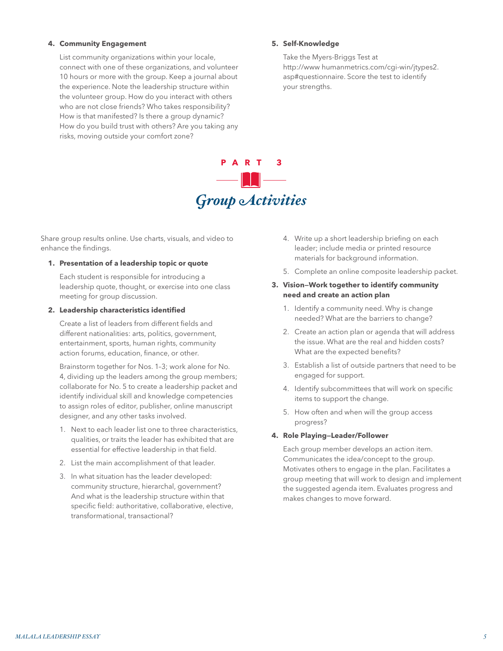### **4. Community Engagement**

List community organizations within your locale, connect with one of these organizations, and volunteer 10 hours or more with the group. Keep a journal about the experience. Note the leadership structure within the volunteer group. How do you interact with others who are not close friends? Who takes responsibility? How is that manifested? Is there a group dynamic? How do you build trust with others? Are you taking any risks, moving outside your comfort zone?

### **5. Self-Knowledge**

Take the Myers-Briggs Test at http://www humanmetrics.com/cgi-win/jtypes2. asp#questionnaire. Score the test to identify your strengths.

# **PART 3** *Group Activities*

Share group results online. Use charts, visuals, and video to enhance the findings.

### **1. Presentation of a leadership topic or quote**

Each student is responsible for introducing a leadership quote, thought, or exercise into one class meeting for group discussion.

### **2. Leadership characteristics identified**

Create a list of leaders from different fields and different nationalities: arts, politics, government, entertainment, sports, human rights, community action forums, education, finance, or other.

Brainstorm together for Nos. 1–3; work alone for No. 4, dividing up the leaders among the group members; collaborate for No. 5 to create a leadership packet and identify individual skill and knowledge competencies to assign roles of editor, publisher, online manuscript designer, and any other tasks involved.

- 1. Next to each leader list one to three characteristics, qualities, or traits the leader has exhibited that are essential for effective leadership in that field.
- 2. List the main accomplishment of that leader.
- 3. In what situation has the leader developed: community structure, hierarchal, government? And what is the leadership structure within that specific field: authoritative, collaborative, elective, transformational, transactional?
- 4. Write up a short leadership briefing on each leader; include media or printed resource materials for background information.
- 5. Complete an online composite leadership packet.
- **3. Vision—Work together to identify community need and create an action plan**
	- 1. Identify a community need. Why is change needed? What are the barriers to change?
	- 2. Create an action plan or agenda that will address the issue. What are the real and hidden costs? What are the expected benefits?
	- 3. Establish a list of outside partners that need to be engaged for support.
	- 4. Identify subcommittees that will work on specific items to support the change.
	- 5. How often and when will the group access progress?

### **4. Role Playing—Leader/Follower**

Each group member develops an action item. Communicates the idea/concept to the group. Motivates others to engage in the plan. Facilitates a group meeting that will work to design and implement the suggested agenda item. Evaluates progress and makes changes to move forward.